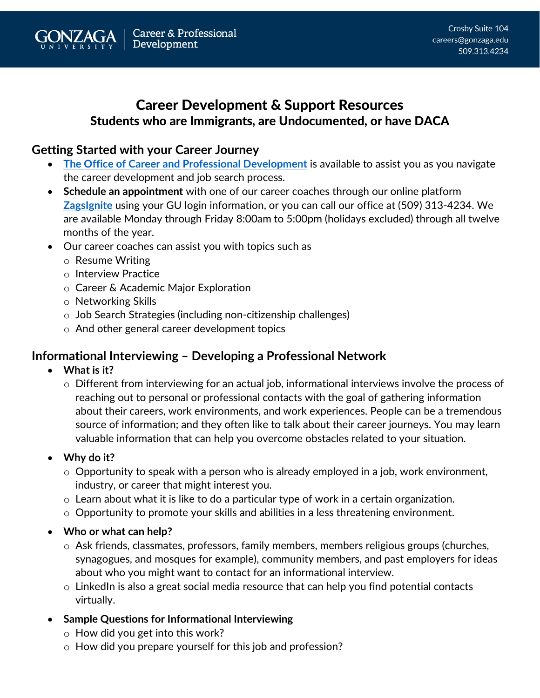# Career Development & Support Resources Students who are Immigrants, are Undocumented, or have DACA

## **Getting Started with your Career Journey**

- **[The Office of Career and Professional Development](https://www.gonzaga.edu/student-life/career-services)** is available to assist you as you navigate the career development and job search process.
- **Schedule an appointment** with one of our career coaches through our online platform **[ZagsIgnite](https://gonzaga-csm.symplicity.com/)** using your GU login information, or you can call our office at (509) 313-4234. We are available Monday through Friday 8:00am to 5:00pm (holidays excluded) through all twelve months of the year.
- Our career coaches can assist you with topics such as
	- o Resume Writing
	- o Interview Practice
	- o Career & Academic Major Exploration
	- o Networking Skills
	- o Job Search Strategies (including non-citizenship challenges)
	- o And other general career development topics

## **Informational Interviewing – Developing a Professional Network**

- **What is it?**
	- $\circ$  Different from interviewing for an actual job, informational interviews involve the process of reaching out to personal or professional contacts with the goal of gathering information about their careers, work environments, and work experiences. People can be a tremendous source of information; and they often like to talk about their career journeys. You may learn valuable information that can help you overcome obstacles related to your situation.
- **Why do it?** 
	- $\circ$  Opportunity to speak with a person who is already employed in a job, work environment, industry, or career that might interest you.
	- o Learn about what it is like to do a particular type of work in a certain organization.
	- o Opportunity to promote your skills and abilities in a less threatening environment.
- **Who or what can help?**
	- o Ask friends, classmates, professors, family members, members religious groups (churches, synagogues, and mosques for example), community members, and past employers for ideas about who you might want to contact for an informational interview.
	- o LinkedIn is also a great social media resource that can help you find potential contacts virtually.
- **Sample Questions for Informational Interviewing**
	- $\circ$  How did you get into this work?
	- o How did you prepare yourself for this job and profession?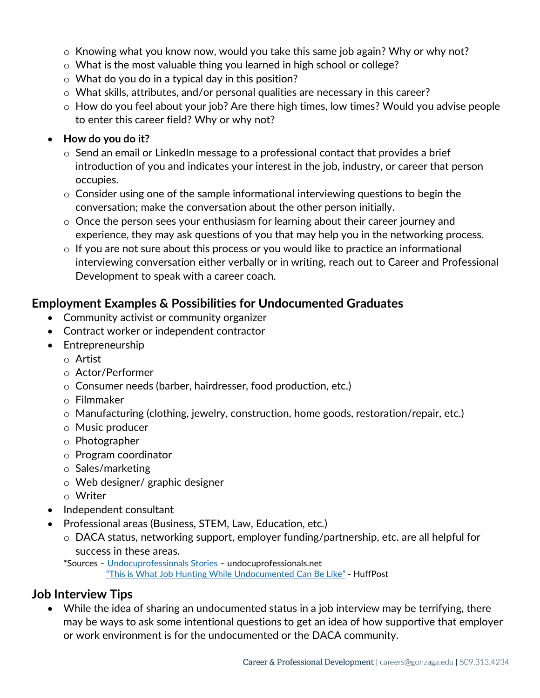- o Knowing what you know now, would you take this same job again? Why or why not?
- $\circ$  What is the most valuable thing you learned in high school or college?
- o What do you do in a typical day in this position?
- o What skills, attributes, and/or personal qualities are necessary in this career?
- o How do you feel about your job? Are there high times, low times? Would you advise people to enter this career field? Why or why not?

#### • **How do you do it?**

- $\circ$  Send an email or LinkedIn message to a professional contact that provides a brief introduction of you and indicates your interest in the job, industry, or career that person occupies.
- o Consider using one of the sample informational interviewing questions to begin the conversation; make the conversation about the other person initially.
- o Once the person sees your enthusiasm for learning about their career journey and experience, they may ask questions of you that may help you in the networking process.
- o If you are not sure about this process or you would like to practice an informational interviewing conversation either verbally or in writing, reach out to Career and Professional Development to speak with a career coach.

#### **Employment Examples & Possibilities for Undocumented Graduates**

- Community activist or community organizer
- Contract worker or independent contractor
- Entrepreneurship
	- o Artist
	- o Actor/Performer
	- o Consumer needs (barber, hairdresser, food production, etc.)
	- o Filmmaker
	- $\circ$  Manufacturing (clothing, jewelry, construction, home goods, restoration/repair, etc.)
	- o Music producer
	- o Photographer
	- o Program coordinator
	- o Sales/marketing
	- o Web designer/ graphic designer
	- o Writer
- Independent consultant
- Professional areas (Business, STEM, Law, Education, etc.)
	- o DACA status, networking support, employer funding/partnership, etc. are all helpful for success in these areas.

\*Sources – [Undocuprofessionals Stories](https://www.undocuprofessionals.net/stories) – undocuprofessionals.net

["This is What Job Hunting While Undocumented Can Be Like"](https://www.huffpost.com/entry/job-hunting-interviewing-undocumented_l_5d7800bae4b094928f075695) - HuffPost

#### **Job Interview Tips**

• While the idea of sharing an undocumented status in a job interview may be terrifying, there may be ways to ask some intentional questions to get an idea of how supportive that employer or work environment is for the undocumented or the DACA community.